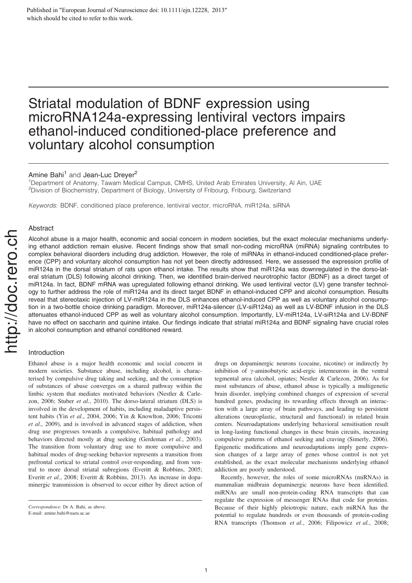# Striatal modulation of BDNF expression using microRNA124a-expressing lentiviral vectors impairs ethanol-induced conditioned-place preference and voluntary alcohol consumption

## Amine Bahi<sup>1</sup> and Jean-Luc Dreyer<sup>2</sup>

<sup>1</sup>Department of Anatomy, Tawam Medical Campus, CMHS, United Arab Emirates University, Al Ain, UAE <sup>2</sup>Division of Biochemistry, Department of Biology, University of Fribourg, Fribourg, Switzerland

Keywords: BDNF, conditioned place preference, lentiviral vector, microRNA, miR124a, siRNA

## Abstract

Alcohol abuse is a major health, economic and social concern in modern societies, but the exact molecular mechanisms underlying ethanol addiction remain elusive. Recent findings show that small non-coding microRNA (miRNA) signaling contributes to complex behavioral disorders including drug addiction. However, the role of miRNAs in ethanol-induced conditioned-place preference (CPP) and voluntary alcohol consumption has not yet been directly addressed. Here, we assessed the expression profile of miR124a in the dorsal striatum of rats upon ethanol intake. The results show that miR124a was downregulated in the dorso-lateral striatum (DLS) following alcohol drinking. Then, we identified brain-derived neurotrophic factor (BDNF) as a direct target of miR124a. In fact, BDNF mRNA was upregulated following ethanol drinking. We used lentiviral vector (LV) gene transfer technology to further address the role of miR124a and its direct target BDNF in ethanol-induced CPP and alcohol consumption. Results reveal that stereotaxic injection of LV-miR124a in the DLS enhances ethanol-induced CPP as well as voluntary alcohol consumption in a two-bottle choice drinking paradigm. Moreover, miR124a-silencer (LV-siR124a) as well as LV-BDNF infusion in the DLS attenuates ethanol-induced CPP as well as voluntary alcohol consumption. Importantly, LV-miR124a, LV-siR124a and LV-BDNF have no effect on saccharin and quinine intake. Our findings indicate that striatal miR124a and BDNF signaling have crucial roles in alcohol consumption and ethanol conditioned reward.

## Introduction

Ethanol abuse is a major health economic and social concern in modern societies. Substance abuse, including alcohol, is characterised by compulsive drug taking and seeking, and the consumption of substances of abuse converges on a shared pathway within the limbic system that mediates motivated behaviors (Nestler & Carlezon, 2006; Stuber et al., 2010). The dorso-lateral striatum (DLS) is involved in the development of habits, including maladaptive persistent habits (Yin et al., 2004, 2006; Yin & Knowlton, 2006; Tricomi et al., 2009), and is involved in advanced stages of addiction, when drug use progresses towards a compulsive, habitual pathology and behaviors directed mostly at drug seeking (Gerdeman et al., 2003). The transition from voluntary drug use to more compulsive and habitual modes of drug-seeking behavior represents a transition from prefrontal cortical to striatal control over-responding, and from ventral to more dorsal striatal subregions (Everitt & Robbins, 2005; Everitt et al., 2008; Everitt & Robbins, 2013). An increase in dopaminergic transmission is observed to occur either by direct action of drugs on dopaminergic neurons (cocaine, nicotine) or indirectly by inhibition of  $\gamma$ -aminobutyric acid-ergic interneurons in the ventral tegmental area (alcohol, opiates; Nestler & Carlezon, 2006). As for most substances of abuse, ethanol abuse is typically a multigenetic brain disorder, implying combined changes of expression of several hundred genes, producing its rewarding effects through an interaction with a large array of brain pathways, and leading to persistent alterations (neuroplastic, structural and functional) in related brain centers. Neuroadaptations underlying behavioral sensitisation result in long-lasting functional changes in these brain circuits, increasing compulsive patterns of ethanol seeking and craving (Simerly, 2006). Epigenetic modifications and neuroadaptations imply gene expression changes of a large array of genes whose control is not yet established, as the exact molecular mechanisms underlying ethanol addiction are poorly understood.

Recently, however, the roles of some microRNAs (miRNAs) in mammalian midbrain dopaminergic neurons have been identified. miRNAs are small non-protein-coding RNA transcripts that can regulate the expression of messenger RNAs that code for proteins. Because of their highly pleiotropic nature, each miRNA has the potential to regulate hundreds or even thousands of protein-coding RNA transcripts (Thomson et al., 2006; Filipowicz et al., 2008;

Correspondence: Dr A. Bahi, as above. E-mail: amine.bahi@uaeu.ac.ae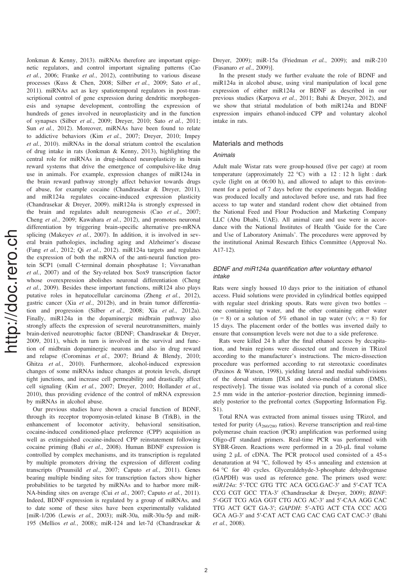Jonkman & Kenny, 2013). miRNAs therefore are important epigenetic regulators, and control important signaling patterns (Cao et al., 2006; Franke et al., 2012), contributing to various disease processes (Kuss & Chen, 2008; Silber et al., 2009; Sato et al., 2011). miRNAs act as key spatiotemporal regulators in post-transcriptional control of gene expression during dendritic morphogenesis and synapse development, controlling the expression of hundreds of genes involved in neuroplasticity and in the function of synapses (Silber et al., 2009; Dreyer, 2010; Sato et al., 2011; Sun et al., 2012). Moreover, miRNAs have been found to relate to addictive behaviors (Kim et al., 2007; Dreyer, 2010; Impey et al., 2010). miRNAs in the dorsal striatum control the escalation of drug intake in rats (Jonkman & Kenny, 2013), highlighting the central role for miRNAs in drug-induced neuroplasticity in brain reward systems that drive the emergence of compulsive-like drug use in animals. For example, expression changes of miR124a in the brain reward pathway strongly affect behavior towards drugs of abuse, for example cocaine (Chandrasekar & Dreyer, 2011), and miR124a regulates cocaine-induced expression plasticity (Chandrasekar & Dreyer, 2009). miR124a is strongly expressed in the brain and regulates adult neurogenesis (Cao  $et$  al., 2007; Cheng et al., 2009; Kawahara et al., 2012), and promotes neuronal differentiation by triggering brain-specific alternative pre-mRNA splicing (Makeyev et al., 2007). In addition, it is involved in several brain pathologies, including aging and Alzheimer's disease (Fang et al., 2012; Qi et al., 2012). miR124a targets and regulates the expression of both the mRNA of the anti-neural function protein SCP1 (small C-terminal domain phosphatase 1; Visvanathan et al., 2007) and of the Sry-related box Sox9 transcription factor whose overexpression abolishes neuronal differentiation (Cheng et al., 2009). Besides these important functions, miR124 also plays putative roles in hepatocellular carcinoma (Zheng et al., 2012), gastric cancer (Xia et al., 2012b), and in brain tumor differentiation and progression (Silber *et al.*, 2008; Xia *et al.*, 2012a). Finally, miR124a in the dopaminergic midbrain pathway also strongly affects the expression of several neurotransmitters, mainly brain-derived neurotrophic factor (BDNF; Chandrasekar & Dreyer, 2009, 2011), which in turn is involved in the survival and function of midbrain dopaminergic neurons and also in drug reward and relapse (Corominas et al., 2007; Briand & Blendy, 2010; Ghitza et al., 2010). Furthermore, alcohol-induced expression changes of some miRNAs induce changes at protein levels, disrupt tight junctions, and increase cell permeability and drastically affect cell signaling (Kim et al., 2007; Dreyer, 2010; Hollander et al., 2010), thus providing evidence of the control of mRNA expression by miRNAs in alcohol abuse.

Our previous studies have shown a crucial function of BDNF, through its receptor tropomyosin-related kinase B (TrkB), in the enhancement of locomotor activity, behavioral sensitisation, cocaine-induced conditioned-place preference (CPP) acquisition as well as extinguished cocaine-induced CPP reinstatement following cocaine priming (Bahi et al., 2008). Human BDNF expression is controlled by complex mechanisms, and its transcription is regulated by multiple promoters driving the expression of different coding transcripts (Pruunsild et al., 2007; Caputo et al., 2011). Genes bearing multiple binding sites for transcription factors show higher probabilities to be targeted by miRNAs and to harbor more miR-NA-binding sites on average (Cui et al., 2007; Caputo et al., 2011). Indeed, BDNF expression is regulated by a group of miRNAs, and to date some of these sites have been experimentally validated [miR-1/206 (Lewis et al., 2003); miR-30a, miR-30a-5p and miR-195 (Mellios et al., 2008); miR-124 and let-7d (Chandrasekar & Dreyer, 2009); miR-15a (Friedman et al., 2009); and miR-210 (Fasanaro et al., 2009)].

In the present study we further evaluate the role of BDNF and miR124a in alcohol abuse, using viral manipulation of local gene expression of either miR124a or BDNF as described in our previous studies (Karpova et al., 2011; Bahi & Dreyer, 2012), and we show that striatal modulation of both miR124a and BDNF expression impairs ethanol-induced CPP and voluntary alcohol intake in rats.

#### Materials and methods

#### Animals

Adult male Wistar rats were group-housed (five per cage) at room temperature (approximately 22 °C) with a 12 : 12 h light : dark cycle (light on at 06:00 h), and allowed to adapt to this environment for a period of 7 days before the experiments began. Bedding was produced locally and autoclaved before use, and rats had free access to tap water and standard rodent chow diet obtained from the National Feed and Flour Production and Marketing Company LLC (Abu Dhabi, UAE). All animal care and use were in accordance with the National Institutes of Health 'Guide for the Care and Use of Laboratory Animals'. The procedures were approved by the institutional Animal Research Ethics Committee (Approval No. A17-12).

## BDNF and miR124a quantification after voluntary ethanol intake

Rats were singly housed 10 days prior to the initiation of ethanol access. Fluid solutions were provided in cylindrical bottles equipped with regular steel drinking spouts. Rats were given two bottles – one containing tap water, and the other containing either water  $(n = 8)$  or a solution of 5% ethanol in tap water (v/v;  $n = 8$ ) for 15 days. The placement order of the bottles was inverted daily to ensure that consumption levels were not due to a side preference.

Rats were killed 24 h after the final ethanol access by decapitation, and brain regions were dissected out and frozen in TRizol according to the manufacturer's instructions. The micro-dissection procedure was performed according to rat stereotaxic coordinates (Paxinos & Watson, 1998), yielding lateral and medial subdivisions of the dorsal striatum [DLS and dorso-medial striatum (DMS), respectively]. The tissue was isolated via punch of a coronal slice 2.5 mm wide in the anterior–posterior direction, beginning immediately posterior to the prefrontal cortex (Supporting Information Fig. S1).

Total RNA was extracted from animal tissues using TRizol, and tested for purity  $(A_{260/280}$  ratios). Reverse transcription and real-time polymerase chain reaction (PCR) amplification was performed using Oligo-dT standard primers. Real-time PCR was performed with SYBR-Green. Reactions were performed in a 20-uL final volume using  $2 \mu L$  of cDNA. The PCR protocol used consisted of a 45-s denaturation at 94 °C, followed by 45-s annealing and extension at 64 °C for 40 cycles. Glyceraldehyde-3-phosphate dehydrogenase (GAPDH) was used as reference gene. The primers used were: miR124a: 5′-TCC GTG TTC ACA GCG.GAC-3′ and 5′-CAT TCA CCG CGT GCC TTA-3′ (Chandrasekar & Dreyer, 2009); BDNF: 5′-GGT TCG AGA GGT CTG ACG AC-3′ and 5′-CAA AGG CAC TTG ACT GCT GA-3′; GAPDH: 5′-ATG ACT CTA CCC ACG GCA AG-3′ and 5′-CAT ACT CAG CAC CAG CAT CAC-3′ (Bahi et al., 2008).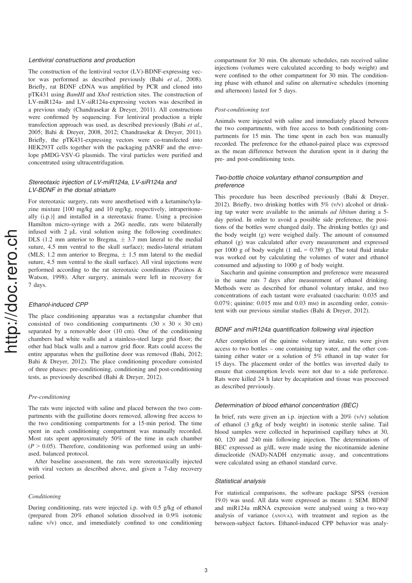#### Lentiviral constructions and production

The construction of the lentiviral vector (LV)-BDNF-expressing vector was performed as described previously (Bahi et al., 2008). Briefly, rat BDNF cDNA was amplified by PCR and cloned into pTK431 using BamHI and XhoI restriction sites. The construction of LV-miR124a- and LV-siR124a-expressing vectors was described in a previous study (Chandrasekar & Dreyer, 2011). All constructions were confirmed by sequencing. For lentiviral production a triple transfection approach was used, as described previously (Bahi et al., 2005; Bahi & Dreyer, 2008, 2012; Chandrasekar & Dreyer, 2011). Briefly, the pTK431-expressing vectors were co-transfected into HEK293T cells together with the packaging  $p\Delta NRF$  and the envelope pMDG-VSV-G plasmids. The viral particles were purified and concentrated using ultracentrifugation.

## Stereotaxic injection of LV-miR124a, LV-siR124a and LV-BDNF in the dorsal striatum

For stereotaxic surgery, rats were anesthetised with a ketamine/xylazine mixture [100 mg/kg and 10 mg/kg, respectively, intraperitoneally (i.p.)] and installed in a stereotaxic frame. Using a precision Hamilton micro-syringe with a 26G needle, rats were bilaterally infused with  $2 \mu L$  viral solution using the following coordinates: DLS (1.2 mm anterior to Bregma,  $\pm$  3.7 mm lateral to the medial suture, 4.5 mm ventral to the skull surface); medio-lateral striatum (MLS; 1.2 mm anterior to Bregma,  $\pm$  1.5 mm lateral to the medial suture, 4.5 mm ventral to the skull surface). All viral injections were performed according to the rat stereotaxic coordinates (Paxinos & Watson, 1998). After surgery, animals were left in recovery for 7 days.

#### Ethanol-induced CPP

The place conditioning apparatus was a rectangular chamber that consisted of two conditioning compartments  $(30 \times 30 \times 30 \text{ cm})$ separated by a removable door (10 cm). One of the conditioning chambers had white walls and a stainless-steel large grid floor; the other had black walls and a narrow grid floor. Rats could access the entire apparatus when the guillotine door was removed (Bahi, 2012; Bahi & Dreyer, 2012). The place conditioning procedure consisted of three phases: pre-conditioning, conditioning and post-conditioning tests, as previously described (Bahi & Dreyer, 2012).

#### Pre-conditioning

The rats were injected with saline and placed between the two compartments with the guillotine doors removed, allowing free access to the two conditioning compartments for a 15-min period. The time spent in each conditioning compartment was manually recorded. Most rats spent approximately 50% of the time in each chamber  $(P > 0.05)$ . Therefore, conditioning was performed using an unbiased, balanced protocol.

After baseline assessment, the rats were stereotaxically injected with viral vectors as described above, and given a 7-day recovery period.

#### Conditioning

During conditioning, rats were injected i.p. with 0.5 g/kg of ethanol (prepared from 20% ethanol solution dissolved in 0.9% isotonic saline v/v) once, and immediately confined to one conditioning compartment for 30 min. On alternate schedules, rats received saline injections (volumes were calculated according to body weight) and were confined to the other compartment for 30 min. The conditioning phase with ethanol and saline on alternative schedules (morning and afternoon) lasted for 5 days.

#### Post-conditioning test

Animals were injected with saline and immediately placed between the two compartments, with free access to both conditioning compartments for 15 min. The time spent in each box was manually recorded. The preference for the ethanol-paired place was expressed as the mean difference between the duration spent in it during the pre- and post-conditioning tests.

#### Two-bottle choice voluntary ethanol consumption and preference

This procedure has been described previously (Bahi & Dreyer, 2012). Briefly, two drinking bottles with  $5\%$  (v/v) alcohol or drinking tap water were available to the animals ad libitum during a 5 day period. In order to avoid a possible side preference, the positions of the bottles were changed daily. The drinking bottles (g) and the body weight (g) were weighed daily. The amount of consumed ethanol (g) was calculated after every measurement and expressed per 1000 g of body weight (1 mL = 0.789 g). The total fluid intake was worked out by calculating the volumes of water and ethanol consumed and adjusting to 1000 g of body weight.

Saccharin and quinine consumption and preference were measured in the same rats 7 days after measurement of ethanol drinking. Methods were as described for ethanol voluntary intake, and two concentrations of each tastant were evaluated (saccharin: 0.035 and  $0.07\%$ ; quinine:  $0.015$  mm and  $0.03$  mm) in ascending order, consistent with our previous similar studies (Bahi & Dreyer, 2012).

#### BDNF and miR124a quantification following viral injection

After completion of the quinine voluntary intake, rats were given access to two bottles – one containing tap water, and the other containing either water or a solution of 5% ethanol in tap water for 15 days. The placement order of the bottles was inverted daily to ensure that consumption levels were not due to a side preference. Rats were killed 24 h later by decapitation and tissue was processed as described previously.

#### Determination of blood ethanol concentration (BEC)

In brief, rats were given an i.p. injection with a 20% (v/v) solution of ethanol (3 g/kg of body weight) in isotonic sterile saline. Tail blood samples were collected in heparinised capillary tubes at 30, 60, 120 and 240 min following injection. The determinations of BEC expressed as g/dL were made using the nicotinamide adenine dinucleotide (NAD)-NADH enzymatic assay, and concentrations were calculated using an ethanol standard curve.

#### Statistical analysis

For statistical comparisons, the software package SPSS (version 19.0) was used. All data were expressed as means  $\pm$  SEM. BDNF and miR124a mRNA expression were analysed using a two-way analysis of variance (ANOVA), with treatment and region as the between-subject factors. Ethanol-induced CPP behavior was analy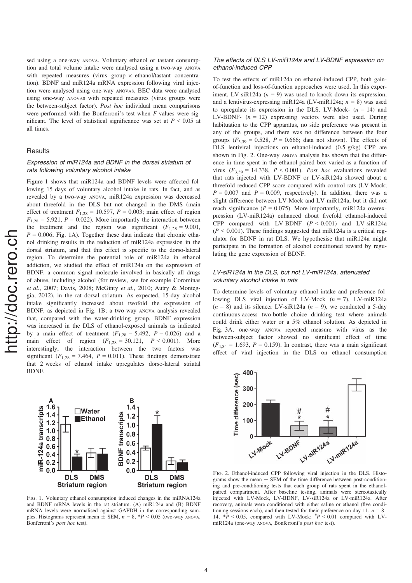sed using a one-way ANOVA. Voluntary ethanol or tastant consumption and total volume intake were analysed using a two-way ANOVA with repeated measures (virus group  $\times$  ethanol/tastant concentration). BDNF and miR124a mRNA expression following viral injection were analysed using one-way ANOVAs. BEC data were analysed using one-way ANOVAs with repeated measures (virus groups were the between-subject factor). Post hoc individual mean comparisons were performed with the Bonferroni's test when F-values were significant. The level of statistical significance was set at  $P \le 0.05$  at all times.

#### **Results**

## Expression of miR124a and BDNF in the dorsal striatum of rats following voluntary alcohol intake

Figure 1 shows that miR124a and BDNF levels were affected following 15 days of voluntary alcohol intake in rats. In fact, and as revealed by a two-way ANOVA, miR124a expression was decreased about threefold in the DLS but not changed in the DMS (main effect of treatment  $F_{1,28} = 10.597$ ,  $P = 0.003$ ; main effect of region  $F_{1,28} = 5.921$ ,  $P = 0.022$ ). More importantly the interaction between the treatment and the region was significant  $(F_{1,28} = 9.001$ ,  $P = 0.006$ ; Fig. 1A). Together these data indicate that chronic ethanol drinking results in the reduction of miR124a expression in the dorsal striatum, and that this effect is specific to the dorso-lateral region. To determine the potential role of miR124a in ethanol addiction, we studied the effect of miR124a on the expression of BDNF, a common signal molecule involved in basically all drugs of abuse, including alcohol (for review, see for example Corominas et al., 2007; Davis, 2008; McGinty et al., 2010; Autry & Monteggia, 2012), in the rat dorsal striatum. As expected, 15-day alcohol intake significantly increased about twofold the expression of BDNF, as depicted in Fig. 1B; a two-way ANOVA analysis revealed that, compared with the water-drinking group, BDNF expression was increased in the DLS of ethanol-exposed animals as indicated by a main effect of treatment  $(F_{1,28} = 5.492, P = 0.026)$  and a main effect of region  $(F_{1,28} = 30.121, P \le 0.001)$ . More interestingly, the interaction between the two factors was significant ( $F_{1,28} = 7.464$ ,  $P = 0.011$ ). These findings demonstrate that 2 weeks of ethanol intake upregulates dorso-lateral striatal BDNF.



Fig. 1. Voluntary ethanol consumption induced changes in the miRNA124a and BDNF mRNA levels in the rat striatum. (A) miR124a and (B) BDNF mRNA levels were normalised against GAPDH in the corresponding samples. Histograms represent mean  $\pm$  SEM,  $n = 8$ ,  $*P < 0.05$  (two-way ANOVA, Bonferroni's post hoc test).

## The effects of DLS LV-miR124a and LV-BDNF expression on ethanol-induced CPP

To test the effects of miR124a on ethanol-induced CPP, both gainof-function and loss-of-function approaches were used. In this experiment, LV-siR124a ( $n = 9$ ) was used to knock down its expression, and a lentivirus-expressing miR124a (LV-miR124a;  $n = 8$ ) was used to upregulate its expression in the DLS. LV-Mock-  $(n = 14)$  and LV-BDNF-  $(n = 12)$  expressing vectors were also used. During habituation to the CPP apparatus, no side preference was present in any of the groups, and there was no difference between the four groups ( $F_{3,39} = 0.528$ ,  $P = 0.666$ ; data not shown). The effects of DLS lentiviral injections on ethanol-induced (0.5 g/kg) CPP are shown in Fig. 2. One-way ANOVA analysis has shown that the difference in time spent in the ethanol-paired box varied as a function of virus  $(F_{3,39} = 14.338, P \le 0.001)$ . *Post hoc* evaluations revealed that rats injected with LV-BDNF or LV-siR124a showed about a threefold reduced CPP score compared with control rats (LV-Mock;  $P = 0.007$  and  $P = 0.009$ , respectively). In addition, there was a slight difference between LV-Mock and LV-miR124a, but it did not reach significance ( $P = 0.075$ ). More importantly, miR124a overexpression (LV-miR124a) enhanced about fivefold ethamol-induced CPP compared with LV-BDNF  $(P < 0.001)$  and LV-siR124a  $(P < 0.001)$ . These findings suggested that miR124a is a critical regulator for BDNF in rat DLS. We hypothesise that miR124a might participate in the formation of alcohol conditioned reward by regulating the gene expression of BDNF.

## LV-siR124a in the DLS, but not LV-miR124a, attenuated voluntary alcohol intake in rats

To determine levels of voluntary ethanol intake and preference following DLS viral injection of LV-Mock  $(n = 7)$ , LV-miR124a  $(n = 8)$  and its silencer LV-siR124a  $(n = 9)$ , we conducted a 5-day continuous-access two-bottle choice drinking test where animals could drink either water or a 5% ethanol solution. As depicted in Fig. 3A, one-way ANOVA repeated measure with virus as the between-subject factor showed no significant effect of time  $(F<sub>4,84</sub> = 1.693, P = 0.159)$ . In contrast, there was a main significant effect of viral injection in the DLS on ethanol consumption



Fig. 2. Ethanol-induced CPP following viral injection in the DLS. Histograms show the mean  $\pm$  SEM of the time difference between post-conditioning and pre-conditioning tests that each group of rats spent in the ethanolpaired compartment. After baseline testing, animals were stereotaxically injected with LV-Mock, LV-BDNF, LV-siR124a or LV-miR124a. After recovery, animals were conditioned with either saline or ethanol (five conditioning sessions each), and then tested for their preference on day 11.  $n = 8-$ 14,  $*P < 0.05$ , compared with LV-Mock;  $*P < 0.01$  compared with LVmiR124a (one-way ANOVA, Bonferroni's post hoc test).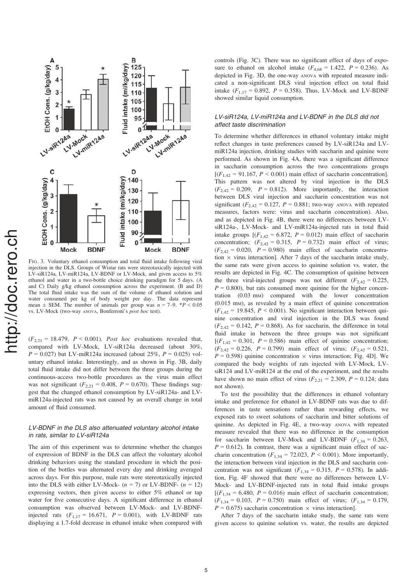

FIG. 3. Voluntary ethanol consumption and total fluid intake following viral injection in the DLS. Groups of Wistar rats were stereotaxically injected with LV-siR124a, LV-miR124a, LV-BDNF or LV-Mock, and given access to 5% ethanol and water in a two-bottle choice drinking paradigm for 5 days. (A and C) Daily g/kg ethanol consumption across the experiment. (B and D) The total fluid intake was the sum of the volume of ethanol solution and water consumed per kg of body weight per day. The data represent mean  $\pm$  SEM. The number of animals per group was  $n = 7-9$ . \* $P < 0.05$ vs. LV-Mock (two-way ANOVA, Bonferroni's post hoc test).

 $(F_{2,21} = 18.479, P \le 0.001)$ . *Post hoc* evaluations revealed that, compared with LV-Mock, LV-siR124a decreased (about 30%,  $P = 0.027$ ) but LV-miR124a increased (about 25%,  $P = 0.025$ ) voluntary ethanol intake. Interestingly, and as shown in Fig. 3B, daily total fluid intake did not differ between the three groups during the continuous-access two-bottle procedures as the virus main effect was not significant  $(F_{2,21} = 0.408, P = 0.670)$ . These findings suggest that the changed ethanol consumption by LV-siR124a- and LVmiR124a-injected rats was not caused by an overall change in total amount of fluid consumed.

## LV-BDNF in the DLS also attenuated voluntary alcohol intake in rats, similar to LV-siR124a

The aim of this experiment was to determine whether the changes of expression of BDNF in the DLS can affect the voluntary alcohol drinking behaviors using the standard procedure in which the position of the bottles was alternated every day and drinking averaged across days. For this purpose, male rats were stereotaxically injected into the DLS with either LV-Mock-  $(n = 7)$  or LV-BDNF-  $(n = 12)$ expressing vectors, then given access to either 5% ethanol or tap water for five consecutive days. A significant difference in ethanol consumption was observed between LV-Mock- and LV-BDNFinjected rats  $(F_{1,17} = 16.671, P = 0.001)$ , with LV-BDNF rats displaying a 1.7-fold decrease in ethanol intake when compared with controls (Fig. 3C). There was no significant effect of days of exposure to ethanol on alcohol intake  $(F_{4,68} = 1.422, P = 0.236)$ . As depicted in Fig. 3D, the one-way ANOVA with repeated measure indicated a non-significant DLS viral injection effect on total fluid intake  $(F_{1,17} = 0.892, P = 0.358)$ . Thus, LV-Mock and LV-BDNF showed similar liquid consumption.

## LV-siR124a, LV-miR124a and LV-BDNF in the DLS did not affect taste discrimination

To determine whether differences in ethanol voluntary intake might reflect changes in taste preferences caused by LV-siR124a and LVmiR124a injection, drinking studies with saccharin and quinine were performed. As shown in Fig. 4A, there was a significant difference in saccharin consumption across the two concentrations groups  $[(F<sub>1.42</sub> = 91.167, P < 0.001)$  main effect of saccharin concentration]. This pattern was not altered by viral injection in the DLS  $(F_{2,42} = 0.209, P = 0.812)$ . More importantly, the interaction between DLS viral injection and saccharin concentration was not significant ( $F_{2,42} = 0.127$ ,  $P = 0.881$ ; two-way ANOVA with repeated measures, factors were: virus and saccharin concentration). Also, and as depicted in Fig. 4B, there were no differences between LVsiR124a-, LV-Mock- and LV-miR124a-injected rats in total fluid intake groups  $[(F_{1,42} = 6.872, P = 0.012)$  main effect of saccharin concentration;  $(F_{2,42} = 0.315, P = 0.732)$  main effect of virus;  $(F<sub>2,42</sub> = 0.020, P = 0.980)$  main effect of saccharin concentration  $\times$  virus interaction]. After 7 days of the saccharin intake study, the same rats were given access to quinine solution vs. water, the results are depicted in Fig. 4C. The consumption of quinine between the three viral-injected groups was not different ( $F_{2,42} = 0.225$ ,  $P = 0.800$ , but rats consumed more quinine for the higher concentration (0.03 mM) compared with the lower concentration (0.015 mM), as revealed by a main effect of quinine concentration  $(F<sub>1,42</sub> = 19.845, P < 0.001)$ . No significant interaction between quinine concentration and viral injection in the DLS was found  $(F_{2,42} = 0.142, P = 0.868)$ . As for saccharin, the difference in total fluid intake in between the three groups was not significant  $[(F<sub>1.42</sub> = 0.301, P = 0.586)$  main effect of quinine concentration;  $(F_{2,42} = 0.226, P = 0.799)$  main effect of virus;  $(F_{2,42} = 0.521,$  $P = 0.598$ ) quinine concentration  $\times$  virus interaction; Fig. 4D]. We compared the body weights of rats injected with LV-Mock, LVsiR124 and LV-miR124 at the end of the experiment, and the results have shown no main effect of virus ( $F_{2,21} = 2.309$ ,  $P = 0.124$ ; data not shown).

To test the possibility that the differences in ethanol voluntary intake and preference for ethanol in LV-BDNF rats was due to differences in taste sensations rather than rewarding effects, we exposed rats to sweet solutions of saccharin and bitter solutions of quinine. As depicted in Fig. 4E, a two-way ANOVA with repeated measure revealed that there was no difference in the consumption for saccharin between LV-Mock and LV-BDNF ( $F_{1,34} = 0.263$ ,  $P = 0.612$ ). In contrast, there was a significant main effect of saccharin concentration ( $F_{1,34} = 72.023$ ,  $P \le 0.001$ ). More importantly, the interaction between viral injection in the DLS and saccharin concentration was not significant ( $F_{1,34} = 0.315$ ,  $P = 0.578$ ). In addition, Fig. 4F showed that there were no differences between LV-Mock- and LV-BDNF-injected rats in total fluid intake groups  $[(F<sub>1,34</sub> = 6.480, P = 0.016)$  main effect of saccharin concentration;  $(F_{1,34} = 0.103, P = 0.750)$  main effect of virus;  $(F_{1,34} = 0.179,$  $P = 0.675$ ) saccharin concentration  $\times$  virus interaction].

After 7 days of the saccharin intake study, the same rats were given access to quinine solution vs. water, the results are depicted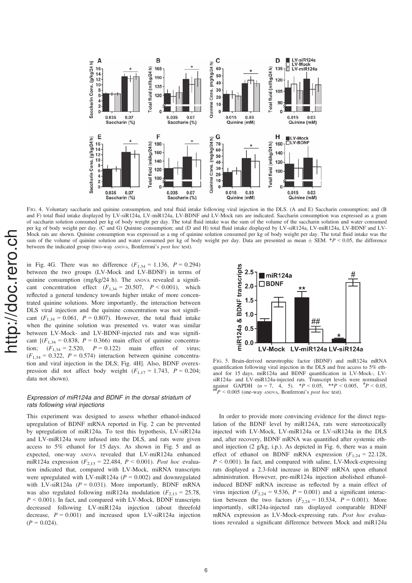

FIG. 4. Voluntary saccharin and quinine consumption, and total fluid intake following viral injection in the DLS. (A and E) Saccharin consumption; and (B and F) total fluid intake displayed by LV-siR124a, LV-miR124a, LV-BDNF and LV-Mock rats are indicated. Saccharin consumption was expressed as a gram of saccharin solution consumed per kg of body weight per day. The total fluid intake was the sum of the volume of the saccharin solution and water consumed per kg of body weight per day. (C and G) Quinine consumption; and (D and H) total fluid intake displayed by LV-siR124a, LV-miR124a, LV-BDNF and LV-Mock rats are shown. Quinine consumption was expressed as a mg of quinine solution consumed per kg of body weight per day. The total fluid intake was the sum of the volume of quinine solution and water consumed per kg of body weight per day. Data are presented as mean  $\pm$  SEM. \*P < 0.05, the difference between the indicated group (two-way ANOVA, Bonferroni's post hoc test).

in Fig. 4G. There was no difference  $(F_{1,34} = 1.136, P = 0.294)$ between the two groups (LV-Mock and LV-BDNF) in terms of quinine consumption (mg/kg/24 h). The ANOVA revealed a significant concentration effect  $(F_{1,34} = 20.507, P \le 0.001)$ , which reflected a general tendency towards higher intake of more concentrated quinine solutions. More importantly, the interaction between DLS viral injection and the quinine concentration was not significant  $(F_{1,34} = 0.061, P = 0.807)$ . However, the total fluid intake when the quinine solution was presented vs. water was similar between LV-Mock- and LV-BDNF-injected rats and was significant  $[(F_{1,34} = 0.838, P = 0.366)$  main effect of quinine concentration;  $(F_{1,34} = 2.520, P = 0.122)$  main effect of virus;  $(F<sub>1,34</sub> = 0.322, P = 0.574)$  interaction between quinine concentration and viral injection in the DLS; Fig. 4H]. Also, BDNF overexpression did not affect body weight  $(F_{1,17} = 1.743, P = 0.204;$ data not shown).

## Expression of miR124a and BDNF in the dorsal striatum of rats following viral injections

This experiment was designed to assess whether ethanol-induced upregulation of BDNF mRNA reported in Fig. 2 can be prevented by upregulation of miR124a. To test this hypothesis, LV-siR124a and LV-miR124a were infused into the DLS, and rats were given access to 5% ethanol for 15 days. As shown in Fig. 5 and as expected, one-way ANOVA revealed that LV-miR124a enhanced miR124a expression ( $F_{2,13} = 22.484$ ,  $P \le 0.001$ ). Post hoc evaluation indicated that, compared with LV-Mock, miRNA transcripts were upregulated with LV-miR124a ( $P = 0.002$ ) and downregulated with LV-siR124a ( $P = 0.031$ ). More importantly, BDNF mRNA was also regulated following miR124a modulation ( $F_{2,13} = 25.78$ ,  $P \leq 0.001$ ). In fact, and compared with LV-Mock, BDNF transcripts decreased following LV-miR124a injection (about threefold decrease,  $P = 0.001$ ) and increased upon LV-siR124a injection  $(P = 0.024)$ .



Fig. 5. Brain-derived neurotrophic factor (BDNF) and miR124a mRNA quantification following viral injection in the DLS and free access to 5% ethanol for 15 days. miR124a and BDNF quantification in LV-Mock-, LVsiR124a- and LV-miR124a-injected rats. Transcript levels were normalised against GAPDH  $(n = 7, 4, 5)$ .  $*P < 0.05$ ,  $*P < 0.005$ ,  $*$  $^{#}P < 0.05$ ,  $H^{\#}P$  < 0.005 (one-way ANOVA, Bonferroni's *post hoc* test).

In order to provide more convincing evidence for the direct regulation of the BDNF level by miR124A, rats were stereotaxically injected with LV-Mock, LV-miR124a or LV-siR124a in the DLS and, after recovery, BDNF mRNA was quantified after systemic ethanol injection (2 g/kg, i.p.). As depicted in Fig. 6, there was a main effect of ethanol on BDNF mRNA expression  $(F_{1,24} = 22.128,$  $P \leq 0.001$ ). In fact, and compared with saline, LV-Mock-expressing rats displayed a 2.3-fold increase in BDNF mRNA upon ethanol administration. However, pre-miR124a injection abolished ethanolinduced BDNF mRNA increase as reflected by a main effect of virus injection ( $F_{2,24} = 9.536$ ,  $P = 0.001$ ) and a significant interaction between the two factors  $(F_{2,24} = 10.534, P = 0.001)$ . More importantly, siR124a-injected rats displayed comparable BDNF mRNA expression as LV-Mock-expressing rats. Post hoc evaluations revealed a significant difference between Mock and miR124a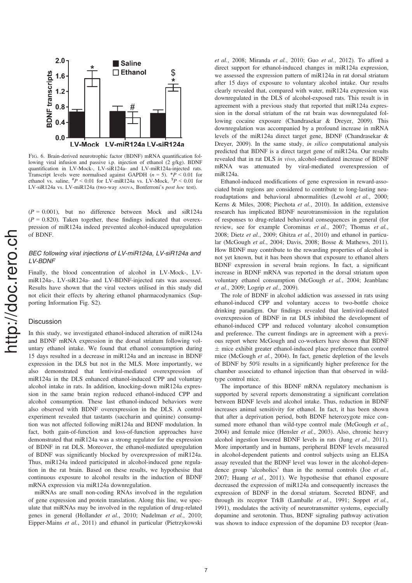

Fig. 6. Brain-derived neurotrophic factor (BDNF) mRNA quantification following viral infusion and passive i.p. injection of ethanol (2 g/kg). BDNF quantification in LV-Mock-, LV-siR124a- and LV-miR124a-injected rats. Transcript levels were normalised against GAPDH ( $n = 5$ ). \* $\overline{P}$  < 0.01 for ethanol vs. saline,  $^{#}P < 0.01$  for LV-miR124a vs. LV-Mock,  $^{\$}P < 0.01$  for LV-siR124a vs. LV-miR124a (two-way ANOVA, Bonferroni's post hoc test).

 $(P = 0.001)$ , but no difference between Mock and siR124a  $(P = 0.820)$ . Taken together, these findings indicated that overexpression of miR124a indeed prevented alcohol-induced upregulation of BDNF.

## BEC following viral injections of LV-miR124a, LV-siR124a and LV-BDNF

Finally, the blood concentration of alcohol in LV-Mock-, LVmiR124a-, LV-siR124a- and LV-BDNF-injected rats was assessed. Results have shown that the viral vectors utilised in this study did not elicit their effects by altering ethanol pharmacodynamics (Supporting Information Fig. S2).

#### Discussion

In this study, we investigated ethanol-induced alteration of miR124a and BDNF mRNA expression in the dorsal striatum following voluntary ethanol intake. We found that ethanol consumption during 15 days resulted in a decrease in miR124a and an increase in BDNF expression in the DLS but not in the MLS. More importantly, we also demonstrated that lentiviral-mediated overexpression of miR124a in the DLS enhanced ethanol-induced CPP and voluntary alcohol intake in rats. In addition, knocking-down miR124a expression in the same brain region reduced ethanol-induced CPP and alcohol consumption. These last ethanol-induced behaviors were also observed with BDNF overexpression in the DLS. A control experiment revealed that tastants (saccharin and quinine) consumption was not affected following miR124a and BDNF modulation. In fact, both gain-of-function and loss-of-function approaches have demonstrated that miR124a was a strong regulator for the expression of BDNF in rat DLS. Moreover, the ethanol-mediated upregulation of BDNF was significantly blocked by overexpression of miR124a. Thus, miR124a indeed participated in alcohol-induced gene regulation in the rat brain. Based on these results, we hypothesise that continuous exposure to alcohol results in the induction of BDNF mRNA expression via miR124a downregulation.

miRNAs are small non-coding RNAs involved in the regulation of gene expression and protein translation. Along this line, we speculate that miRNAs may be involved in the regulation of drug-related genes in general (Hollander et al., 2010; Nudelman et al., 2010; Eipper-Mains et al., 2011) and ethanol in particular (Pietrzykowski et al., 2008; Miranda et al., 2010; Guo et al., 2012). To afford a direct support for ethanol-induced changes in miR124a expression, we assessed the expression pattern of miR124a in rat dorsal striatum after 15 days of exposure to voluntary alcohol intake. Our results clearly revealed that, compared with water, miR124a expression was downregulated in the DLS of alcohol-exposed rats. This result is in agreement with a previous study that reported that miR124a expression in the dorsal striatum of the rat brain was downregulated following cocaine exposure (Chandrasekar & Dreyer, 2009). This downregulation was accompanied by a profound increase in mRNA levels of the miR124a direct target gene, BDNF (Chandrasekar & Dreyer, 2009). In the same study, *in silico* computational analysis predicted that BDNF is a direct target gene of miR124a. Our results revealed that in rat DLS in vivo, alcohol-mediated increase of BDNF mRNA was attenuated by viral-mediated overexpression of miR124a.

Ethanol-induced modifications of gene expression in reward-associated brain regions are considered to contribute to long-lasting neuroadaptations and behavioral abnormalities (Lewohl et al., 2000; Kerns & Miles, 2008; Piechota et al., 2010). In addition, extensive research has implicated BDNF neurotransmission in the regulation of responses to drug-related behavioral consequences in general (for review, see for example Corominas et al., 2007; Thomas et al., 2008; Dietz et al., 2009; Ghitza et al., 2010) and ethanol in particular (McGough et al., 2004; Davis, 2008; Bosse & Mathews, 2011). How BDNF may contribute to the rewarding properties of alcohol is not yet known, but it has been shown that exposure to ethanol alters BDNF expression in several brain regions. In fact, a significant increase in BDNF mRNA was reported in the dorsal striatum upon voluntary ethanol consumption (McGough et al., 2004; Jeanblanc et al., 2009; Logrip et al., 2009).

The role of BDNF in alcohol addiction was assessed in rats using ethanol-induced CPP and voluntary access to two-bottle choice drinking paradigm. Our findings revealed that lentiviral-mediated overexpression of BDNF in rat DLS inhibited the development of ethanol-induced CPP and reduced voluntary alcohol consumption and preference. The current findings are in agreement with a previous report where McGough and co-workers have shown that BDNF  $\pm$  mice exhibit greater ethanol-induced place preference than control mice (McGough et al., 2004). In fact, genetic depletion of the levels of BDNF by 50% results in a significantly higher preference for the chamber associated to ethanol injection than that observed in wildtype control mice.

The importance of this BDNF mRNA regulatory mechanism is supported by several reports demonstrating a significant correlation between BDNF levels and alcohol intake. Thus, reduction in BDNF increases animal sensitivity for ethanol. In fact, it has been shown that after a deprivation period, both BDNF heterozygote mice consumed more ethanol than wild-type control male (McGough et al., 2004) and female mice (Hensler et al., 2003). Also, chronic heavy alcohol ingestion lowered BDNF levels in rats (Jung et al., 2011). More importantly and in humans, peripheral BDNF levels measured in alcohol-dependent patients and control subjects using an ELISA assay revealed that the BDNF level was lower in the alcohol-dependence group 'alcoholics' than in the normal controls (Joe et al., 2007; Huang et al., 2011). We hypothesise that ethanol exposure decreased the expression of miR124a and consequently increases the expression of BDNF in the dorsal striatum. Secreted BDNF, and through its receptor TrkB (Lamballe et al., 1991; Soppet et al., 1991), modulates the activity of neurotransmitter systems, especially dopamine and serotonin. Thus, BDNF signaling pathway activation was shown to induce expression of the dopamine D3 receptor (Jean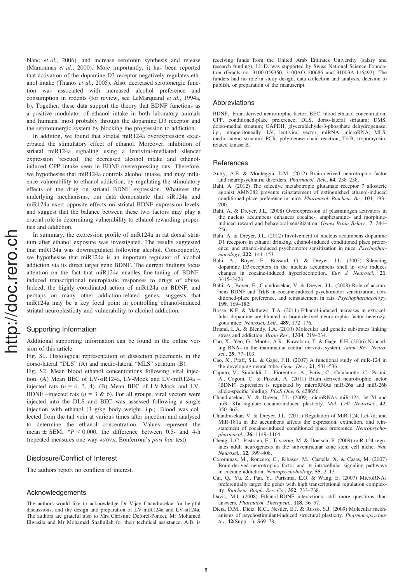blanc et al., 2006), and increase serotonin synthesis and release (Mamounas et al., 2000). More importantly, it has been reported that activation of the dopamine D3 receptor negatively regulates ethanol intake (Thanos et al., 2005). Also, decreased serotonergic function was associated with increased alcohol preference and consumption in rodents (for review, see LeMarquand et al., 1994a, b). Together, these data support the theory that BDNF functions as a positive modulator of ethanol intake in both laboratory animals and humans, most probably through the dopamine D3 receptor and the serotoninergic system by blocking the progression to addiction.

In addition, we found that striatal miR124a overexpression exacerbated the stimulatory effect of ethanol. Moreover, inhibition of striatal miR124a signaling using a lentiviral-mediated silencer expression 'rescued' the decreased alcohol intake and ethanolinduced CPP intake seen in BDNF-overexpressing rats. Therefore, we hypothesise that miR124a controls alcohol intake, and may influence vulnerability to ethanol addiction, by regulating the stimulatory effects of the drug on striatal BDNF expression. Whatever the underlying mechanisms, our data demonstrate that siR124a and miR124a exert opposite effects on striatal BDNF expression levels, and suggest that the balance between these two factors may play a crucial role in determining vulnerability to ethanol-rewarding properties and addiction.

In summary, the expression profile of miR124a in rat dorsal striatum after ethanol exposure was investigated. The results suggested that miR124a was downregulated following alcohol. Consequently, we hypothesise that miR124a is an important regulator of alcohol addiction via its direct target gene BDNF. The current findings focus attention on the fact that miR124a enables fine-tuning of BDNFinduced transcriptional neuroplastic responses to drugs of abuse. Indeed, the highly coordinated action of miR124a on BDNF, and perhaps on many other addiction-related genes, suggests that miR124a may be a key focal point in controlling ethanol-induced striatal neuroplasticity and vulnerability to alcohol addiction.

## Supporting Information

Additional supporting information can be found in the online version of this article:

Fig. S1. Histological representation of dissection placements in the dorso-lateral "DLS" (A) and medio-lateral "MLS" striatum (B).

Fig. S2. Mean blood ethanol concentrations following viral injection. (A) Mean BEC of LV-siR124a, LV-Mock and LV-miR124a – injected rats  $(n = 4, 3, 4)$ . (B) Mean BEC of LV-Mock and LV-BDNF –injected rats ( $n = 3$  & 6). For all groups, viral vectors were injected into the DLS and BEC was assessed following a single injection with ethanol (3 g/kg body weight, i.p.). Blood was collected from the tail vein at various times after injection and analysed to determine the ethanol concentration. Values represent the mean  $\pm$  SEM.  $*P < 0.000$ , the difference between 0.5- and 4-h (repeated measures one-way ANOVA, Bonferroni's post hoc test).

## Disclosure/Conflict of Interest

The authors report no conflicts of interest.

#### Acknowledgements

The authors would like to acknowledge Dr Vijay Chandrasekar for helpful discussions, and the design and preparation of LV-miR124a and LV-si124a. The authors are grateful also to Mrs Christine Deforel-Poncet, Mr Mohamed Elwasila and Mr Mohamed Shafiullah for their technical assistance. A.B. is receiving funds from the United Arab Emirates University (salary and research funding). J.L.D. was supported by Swiss National Science Foundation (Grants no. 3100-059350, 3100AO-100686 and 31003A-116492). The funders had no role in study design, data collection and analysis, decision to publish, or preparation of the manuscript.

#### Abbreviations

BDNF, brain-derived neurotrophic factor; BEC, blood ethanol concentration; CPP, conditioned-place preference; DLS, dorso-lateral striatum; DMS, dorso-medial striatum; GAPDH, glyceraldehyde-3-phosphate dehydrogenase; i.p., intraperitoneally; LV, lentiviral vector; miRNA, microRNA; MLS, medio-lateral striatum; PCR, polymerase chain reaction; TrkB, tropomyosinrelated kinase B.

#### **References**

- Autry, A.E. & Monteggia, L.M. (2012) Brain-derived neurotrophic factor and neuropsychiatric disorders. Pharmacol. Rev., 64, 238–258.
- Bahi, A. (2012) The selective metabotropic glutamate receptor 7 allosteric agonist AMN082 prevents reinstatement of extinguished ethanol-induced conditioned place preference in mice. Pharmacol. Biochem. Be., 101, 193-200.
- Bahi, A. & Dreyer, J.L. (2008) Overexpression of plasminogen activators in the nucleus accumbens enhances cocaine-, amphetamine- and morphineinduced reward and behavioral sensitization. Genes Brain Behav., 7, 244– 256.
- Bahi, A. & Dreyer, J.L. (2012) Involvement of nucleus accumbens dopamine D1 receptors in ethanol drinking, ethanol-induced conditioned place preference, and ethanol-induced psychomotor sensitization in mice. Psychopharmacology, 222, 141–153.
- Bahi, A., Boyer, F., Bussard, G. & Dreyer, J.L. (2005) Silencing dopamine D3-receptors in the nucleus accumbens shell in vivo induces changes in cocaine-induced hyperlocomotion. Eur. J. Neurosci., 21, 3415–3426.
- Bahi, A., Boyer, F., Chandrasekar, V. & Dreyer, J.L. (2008) Role of accumbens BDNF and TrkB in cocaine-induced psychomotor sensitization, conditioned-place preference, and reinstatement in rats. Psychopharmacology, 199, 169–182.
- Bosse, K.E. & Mathews, T.A. (2011) Ethanol-induced increases in extracellular dopamine are blunted in brain-derived neurotrophic factor heterozygous mice. Neurosci. Lett., 489, 172–176.
- Briand, L.A. & Blendy, J.A. (2010) Molecular and genetic substrates linking stress and addiction. Brain Res., 1314, 219–234.
- Cao, X., Yeo, G., Muotri, A.R., Kuwabara, T. & Gage, F.H. (2006) Noncoding RNAs in the mammalian central nervous system. Annu. Rev. Neurosci., 29, 77–103.
- Cao, X., Pfaff, S.L. & Gage, F.H. (2007) A functional study of miR-124 in the developing neural tube. Gene. Dev., 21, 531-536.
- Caputo, V., Sinibaldi, L., Fiorentino, A., Parisi, C., Catalanotto, C., Pasini, A., Cogoni, C. & Pizzuti, A. (2011) Brain derived neurotrophic factor (BDNF) expression is regulated by microRNAs miR-26a and miR-26b allele-specific binding. PLoS One, 6, e28656.
- Chandrasekar, V. & Dreyer, J.L. (2009) microRNAs miR-124, let-7d and miR-181a regulate cocaine-induced plasticity. Mol. Cell. Neurosci., 42, 350–362.
- Chandrasekar, V. & Dreyer, J.L. (2011) Regulation of MiR-124, Let-7d, and MiR-181a in the accumbens affects the expression, extinction, and reinstatement of cocaine-induced conditioned place preference. Neuropsychopharmacol., 36, 1149–1164.
- Cheng, L.C., Pastrana, E., Tavazoie, M. & Doetsch, F. (2009) miR-124 regulates adult neurogenesis in the subventricular zone stem cell niche. Nat. Neurosci., 12, 399–408.
- Corominas, M., Roncero, C., Ribases, M., Castells, X. & Casas, M. (2007) Brain-derived neurotrophic factor and its intracellular signaling pathways in cocaine addiction. Neuropsychobiology, 55, 2–13.
- Cui, Q., Yu, Z., Pan, Y., Purisima, E.O. & Wang, E. (2007) MicroRNAs preferentially target the genes with high transcriptional regulation complexity. Biochem. Bioph. Res. Co., 352, 733–738.
- Davis, M.I. (2008) Ethanol-BDNF interactions: still more questions than answers. Pharmacol. Therapeut., 118, 36–57.
- Dietz, D.M., Dietz, K.C., Nestler, E.J. & Russo, S.J. (2009) Molecular mechanisms of psychostimulant-induced structural plasticity. Pharmacopsychiatry, 42(Suppl 1), S69–78.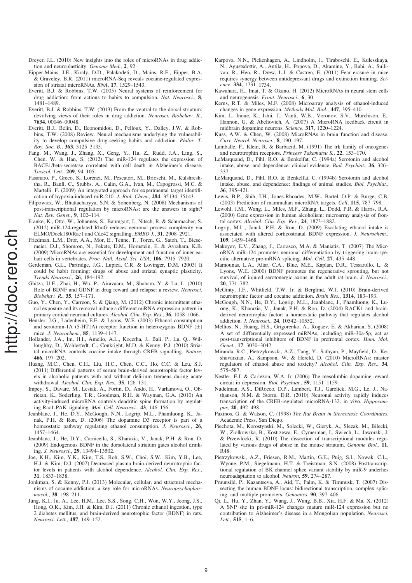- Dreyer, J.L. (2010) New insights into the roles of microRNAs in drug addiction and neuroplasticity. Genome Med., 2, 92.
- Eipper-Mains, J.E., Kiraly, D.D., Palakodeti, D., Mains, R.E., Eipper, B.A. & Graveley, B.R. (2011) microRNA-Seq reveals cocaine-regulated expression of striatal microRNAs. RNA, 17, 1529–1543.
- Everitt, B.J. & Robbins, T.W. (2005) Neural systems of reinforcement for drug addiction: from actions to habits to compulsion. Nat. Neurosci., 8, 1481–1489.
- Everitt, B.J. & Robbins, T.W. (2013) From the ventral to the dorsal striatum: devolving views of their roles in drug addiction. Neurosci. Biobehav. R., 7634, 00046–00048.
- Everitt, B.J., Belin, D., Economidou, D., Pelloux, Y., Dalley, J.W. & Robbins, T.W. (2008) Review. Neural mechanisms underlying the vulnerability to develop compulsive drug-seeking habits and addiction. Philos. T. Roy. Soc. B., 363, 3125–3135.
- Fang, M., Wang, J., Zhang, X., Geng, Y., Hu, Z., Rudd, J.A., Ling, S., Chen, W. & Han, S. (2012) The miR-124 regulates the expression of BACE1/beta-secretase correlated with cell death in Alzheimer's disease. Toxicol. Lett., 209, 94–105.
- Fasanaro, P., Greco, S., Lorenzi, M., Pescatori, M., Brioschi, M., Kulshreshtha, R., Banfi, C., Stubbs, A., Calin, G.A., Ivan, M., Capogrossi, M.C. & Martelli, F. (2009) An integrated approach for experimental target identification of hypoxia-induced miR-210. J. Biol. Chem., 284, 35134-35143.
- Filipowicz, W., Bhattacharyya, S.N. & Sonenberg, N. (2008) Mechanisms of post-transcriptional regulation by microRNAs: are the answers in sight? Nat. Rev. Genet., 9, 102–114.
- Franke, K., Otto, W., Johannes, S., Baumgart, J., Nitsch, R. & Schumacher, S. (2012) miR-124-regulated RhoG reduces neuronal process complexity via ELMO/Dock180/Rac1 and Cdc42 signalling. EMBO J., 31, 2908–2921.
- Friedman, L.M., Dror, A.A., Mor, E., Tenne, T., Toren, G., Satoh, T., Biesemeier, D.J., Shomron, N., Fekete, D.M., Hornstein, E. & Avraham, K.B. (2009) MicroRNAs are essential for development and function of inner ear hair cells in vertebrates. Proc. Natl. Acad. Sci. USA, 106, 7915–7920.
- Gerdeman, G.L., Partridge, J.G., Lupica, C.R. & Lovinger, D.M. (2003) It could be habit forming: drugs of abuse and striatal synaptic plasticity. Trends Neurosci., 26, 184–192.
- Ghitza, U.E., Zhai, H., Wu, P., Airavaara, M., Shaham, Y. & Lu, L. (2010) Role of BDNF and GDNF in drug reward and relapse: a review. Neurosci. Biobehav. R., 35, 157–171.
- Guo, Y., Chen, Y., Carreon, S. & Qiang, M. (2012) Chronic intermittent ethanol exposure and its removal induce a different miRNA expression pattern in primary cortical neuronal cultures. Alcohol. Clin. Exp. Res., 36, 1058-1066.
- Hensler, J.G., Ladenheim, E.E. & Lyons, W.E. (2003) Ethanol consumption and serotonin-1A (5-HT1A) receptor function in heterozygous BDNF  $(\pm)$ mice. J. Neurochem., 85, 1139–1147.
- Hollander, J.A., Im, H.I., Amelio, A.L., Kocerha, J., Bali, P., Lu, Q., Willoughby, D., Wahlestedt, C., Conkright, M.D. & Kenny, P.J. (2010) Striatal microRNA controls cocaine intake through CREB signalling. Nature, 466, 197–202.
- Huang, M.C., Chen, C.H., Liu, H.C., Chen, C.C., Ho, C.C. & Leu, S.J. (2011) Differential patterns of serum brain-derived neurotrophic factor levels in alcoholic patients with and without delirium tremens during acute withdrawal. Alcohol. Clin. Exp. Res., 35, 126–131.
- Impey, S., Davare, M., Lesiak, A., Fortin, D., Ando, H., Varlamova, O., Obrietan, K., Soderling, T.R., Goodman, R.H. & Wayman, G.A. (2010) An activity-induced microRNA controls dendritic spine formation by regulating Rac1-PAK signaling. Mol. Cell. Neurosci., 43, 146-156.
- Jeanblanc, J., He, D.Y., McGough, N.N., Logrip, M.L., Phamluong, K., Janak, P.H. & Ron, D. (2006) The dopamine D3 receptor is part of a homeostatic pathway regulating ethanol consumption. J. Neurosci., 26, 1457–1464.
- Jeanblanc, J., He, D.Y., Carnicella, S., Kharazia, V., Janak, P.H. & Ron, D. (2009) Endogenous BDNF in the dorsolateral striatum gates alcohol drinking. J. Neurosci., 29, 13494–13502.
- Joe, K.H., Kim, Y.K., Kim, T.S., Roh, S.W., Choi, S.W., Kim, Y.B., Lee, H.J. & Kim, D.J. (2007) Decreased plasma brain-derived neurotrophic factor levels in patients with alcohol dependence. Alcohol. Clin. Exp. Res., 31, 1833–1838.
- Jonkman, S. & Kenny, P.J. (2013) Molecular, cellular, and structural mechanisms of cocaine addiction: a key role for microRNAs. Neuropsychopharmacol., 38, 198–211.
- Jung, K.I., Ju, A., Lee, H.M., Lee, S.S., Song, C.H., Won, W.Y., Jeong, J.S., Hong, O.K., Kim, J.H. & Kim, D.J. (2011) Chronic ethanol ingestion, type 2 diabetes mellitus, and brain-derived neurotrophic factor (BDNF) in rats. Neurosci. Lett., 487, 149–152.
- Karpova, N.N., Pickenhagen, A., Lindholm, J., Tiraboschi, E., Kulesskaya, N., Agustsdottir, A., Antila, H., Popova, D., Akamine, Y., Bahi, A., Sullivan, R., Hen, R., Drew, L.J. & Castren, E. (2011) Fear erasure in mice requires synergy between antidepressant drugs and extinction training. Science, 334, 1731–1734.
- Kawahara, H., Imai, T. & Okano, H. (2012) MicroRNAs in neural stem cells and neurogenesis. Front. Neurosci., 6, 30.
- Kerns, R.T. & Miles, M.F. (2008) Microarray analysis of ethanol-induced changes in gene expression. Methods Mol. Biol., 447, 395–410.
- Kim, J., Inoue, K., Ishii, J., Vanti, W.B., Voronov, S.V., Murchison, E., Hannon, G. & Abeliovich, A. (2007) A MicroRNA feedback circuit in midbrain dopamine neurons. Science, 317, 1220–1224.
- Kuss, A.W. & Chen, W. (2008) MicroRNAs in brain function and disease. Curr. Neurol. Neurosci., 8, 190–197.
- Lamballe, F., Klein, R. & Barbacid, M. (1991) The trk family of oncogenes and neurotrophin receptors. Princess Takamatsu S., 22, 153–170.
- LeMarquand, D., Pihl, R.O. & Benkelfat, C. (1994a) Serotonin and alcohol intake, abuse, and dependence: clinical evidence. Biol. Psychiat., 36, 326– 337.
- LeMarquand, D., Pihl, R.O. & Benkelfat, C. (1994b) Serotonin and alcohol intake, abuse, and dependence: findings of animal studies. Biol. Psychiat., 36, 395–421.
- Lewis, B.P., Shih, I.H., Jones-Rhoades, M.W., Bartel, D.P. & Burge, C.B. (2003) Prediction of mammalian microRNA targets. Cell, 115, 787–798.
- Lewohl, J.M., Wang, L., Miles, M.F., Zhang, L., Dodd, P.R. & Harris, R.A. (2000) Gene expression in human alcoholism: microarray analysis of frontal cortex. Alcohol. Clin. Exp. Res., 24, 1873–1882.
- Logrip, M.L., Janak, P.H. & Ron, D. (2009) Escalating ethanol intake is associated with altered corticostriatal BDNF expression. J. Neurochem., 109, 1459–1468.
- Makeyev, E.V., Zhang, J., Carrasco, M.A. & Maniatis, T. (2007) The MicroRNA miR-124 promotes neuronal differentiation by triggering brain-specific alternative pre-mRNA splicing. Mol. Cell, 27, 435–448.
- Mamounas, L.A., Altar, C.A., Blue, M.E., Kaplan, D.R., Tessarollo, L. & Lyons, W.E. (2000) BDNF promotes the regenerative sprouting, but not survival, of injured serotonergic axons in the adult rat brain. J. Neurosci., 20, 771–782.
- McGinty, J.F., Whitfield, T.W. Jr. & Berglind, W.J. (2010) Brain-derived neurotrophic factor and cocaine addiction. Brain Res., 1314, 183–193.
- McGough, N.N., He, D.Y., Logrip, M.L., Jeanblanc, J., Phamluong, K., Luong, K., Kharazia, V., Janak, P.H. & Ron, D. (2004) RACK1 and brainderived neurotrophic factor: a homeostatic pathway that regulates alcohol addiction. J. Neurosci., 24, 10542–10552.
- Mellios, N., Huang, H.S., Grigorenko, A., Rogaev, E. & Akbarian, S. (2008) A set of differentially expressed miRNAs, including miR-30a-5p, act as post-transcriptional inhibitors of BDNF in prefrontal cortex. Hum. Mol. *Genet.*, 17, 3030–3042.
- Miranda, R.C., Pietrzykowski, A.Z., Tang, Y., Sathyan, P., Mayfield, D., Keshavarzian, A., Sampson, W. & Hereld, D. (2010) MicroRNAs: master regulators of ethanol abuse and toxicity? Alcohol. Clin. Exp. Res., 34, 575–587.
- Nestler, E.J. & Carlezon, W.A. Jr. (2006) The mesolimbic dopamine reward circuit in depression. Biol. Psychiat., 59, 1151–1159.
- Nudelman, A.S., DiRocco, D.P., Lambert, T.J., Garelick, M.G., Le, J., Nathanson, N.M. & Storm, D.R. (2010) Neuronal activity rapidly induces transcription of the CREB-regulated microRNA-132, in vivo. Hippocampus, 20, 492–498.
- Paxinos, G. & Watson, C. (1998) The Rat Brain in Stereotaxic Coordinates. Academic Press, San Diego.
- Piechota, M., Korostynski, M., Solecki, W., Gieryk, A., Slezak, M., Bilecki, W., Ziolkowska, B., Kostrzewa, E., Cymerman, I., Swiech, L., Jaworski, J. & Przewlocki, R. (2010) The dissection of transcriptional modules regulated by various drugs of abuse in the mouse striatum. Genome Biol., 11, R48.
- Pietrzykowski, A.Z., Friesen, R.M., Martin, G.E., Puig, S.I., Nowak, C.L., Wynne, P.M., Siegelmann, H.T. & Treistman, S.N. (2008) Posttranscriptional regulation of BK channel splice variant stability by miR-9 underlies neuroadaptation to alcohol. Neuron, 59, 274–287.
- Pruunsild, P., Kazantseva, A., Aid, T., Palm, K. & Timmusk, T. (2007) Dissecting the human BDNF locus: bidirectional transcription, complex splicing, and multiple promoters. Genomics, 90, 397–406.
- Qi, L., Hu, Y., Zhan, Y., Wang, J., Wang, B.B., Xia, H.F. & Ma, X. (2012) A SNP site in pri-miR-124 changes mature miR-124 expression but no contribution to Alzheimer's disease in a Mongolian population. Neurosci. Lett., 515, 1–6.